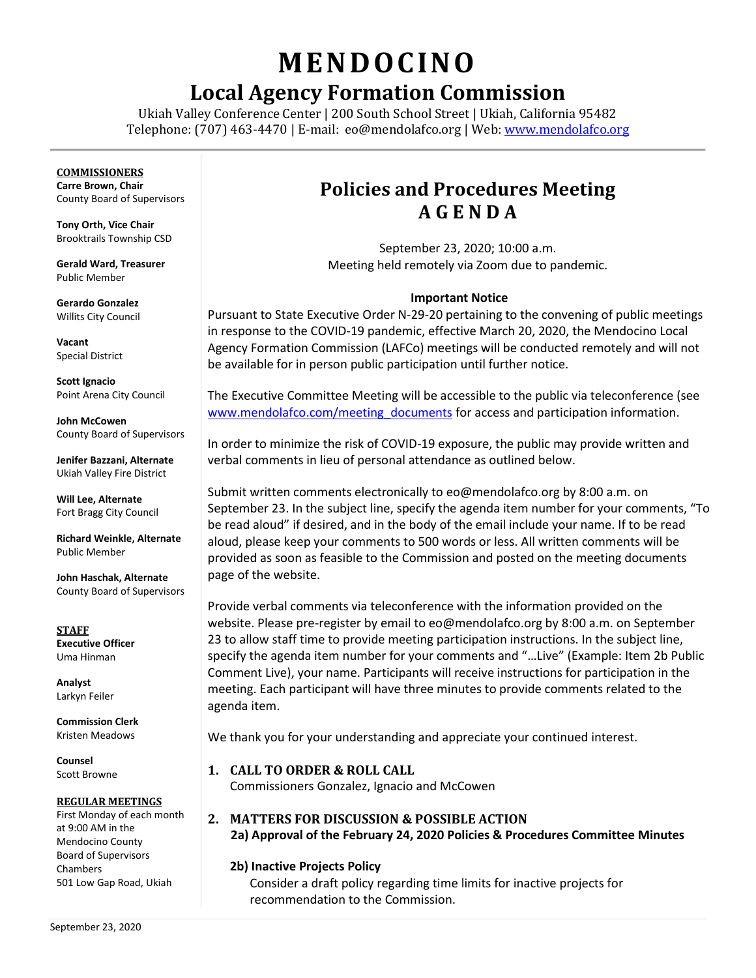# **MENDOCINO**

# **Local Agency Formation Commission**

Ukiah Valley Conference Center | 200 South School Street | Ukiah, California 95482 Telephone: (707) 463-4470 | E-mail: [eo@mendolafco.org](mailto:eo@mendolafco.org) | Web[: www.mendolafco.org](http://www.mendolafco.org/)

#### **COMMISSIONERS**

**Carre Brown, Chair** County Board of Supervisors

**Tony Orth, Vice Chair** Brooktrails Township CSD

**Gerald Ward, Treasurer** Public Member

**Gerardo Gonzalez** Willits City Council

**Vacant** Special District

**Scott Ignacio** Point Arena City Council

**John McCowen** County Board of Supervisors

**Jenifer Bazzani, Alternate** Ukiah Valley Fire District

**Will Lee, Alternate** Fort Bragg City Council

**Richard Weinkle, Alternate** Public Member

**John Haschak, Alternate** County Board of Supervisors

**STAFF Executive Officer** Uma Hinman

**Analyst** Larkyn Feiler

**Commission Clerk** Kristen Meadows

**Counsel** Scott Browne

#### **REGULAR MEETINGS**

First Monday of each month at 9:00 AM in the Mendocino County Board of Supervisors Chambers 501 Low Gap Road, Ukiah

### **Policies and Procedures Meeting A G E N D A**

September 23, 2020; 10:00 a.m. Meeting held remotely via Zoom due to pandemic.

#### **Important Notice**

Pursuant to State Executive Order N-29-20 pertaining to the convening of public meetings in response to the COVID-19 pandemic, effective March 20, 2020, the Mendocino Local Agency Formation Commission (LAFCo) meetings will be conducted remotely and will not be available for in person public participation until further notice.

The Executive Committee Meeting will be accessible to the public via teleconference (see [www.mendolafco.com/meeting\\_documents](http://www.mendolafco.com/meeting_documents) for access and participation information.

In order to minimize the risk of COVID-19 exposure, the public may provide written and verbal comments in lieu of personal attendance as outlined below.

Submit written comments electronically to eo@mendolafco.org by 8:00 a.m. on September 23. In the subject line, specify the agenda item number for your comments, "To be read aloud" if desired, and in the body of the email include your name. If to be read aloud, please keep your comments to 500 words or less. All written comments will be provided as soon as feasible to the Commission and posted on the meeting documents page of the website.

Provide verbal comments via teleconference with the information provided on the website. Please pre-register by email to eo@mendolafco.org by 8:00 a.m. on September 23 to allow staff time to provide meeting participation instructions. In the subject line, specify the agenda item number for your comments and "…Live" (Example: Item 2b Public Comment Live), your name. Participants will receive instructions for participation in the meeting. Each participant will have three minutes to provide comments related to the agenda item.

We thank you for your understanding and appreciate your continued interest.

#### **1. CALL TO ORDER & ROLL CALL**

Commissioners Gonzalez, Ignacio and McCowen

#### **2. MATTERS FOR DISCUSSION & POSSIBLE ACTION 2a) Approval of the February 24, 2020 Policies & Procedures Committee Minutes**

#### **2b) Inactive Projects Policy**

Consider a draft policy regarding time limits for inactive projects for recommendation to the Commission.